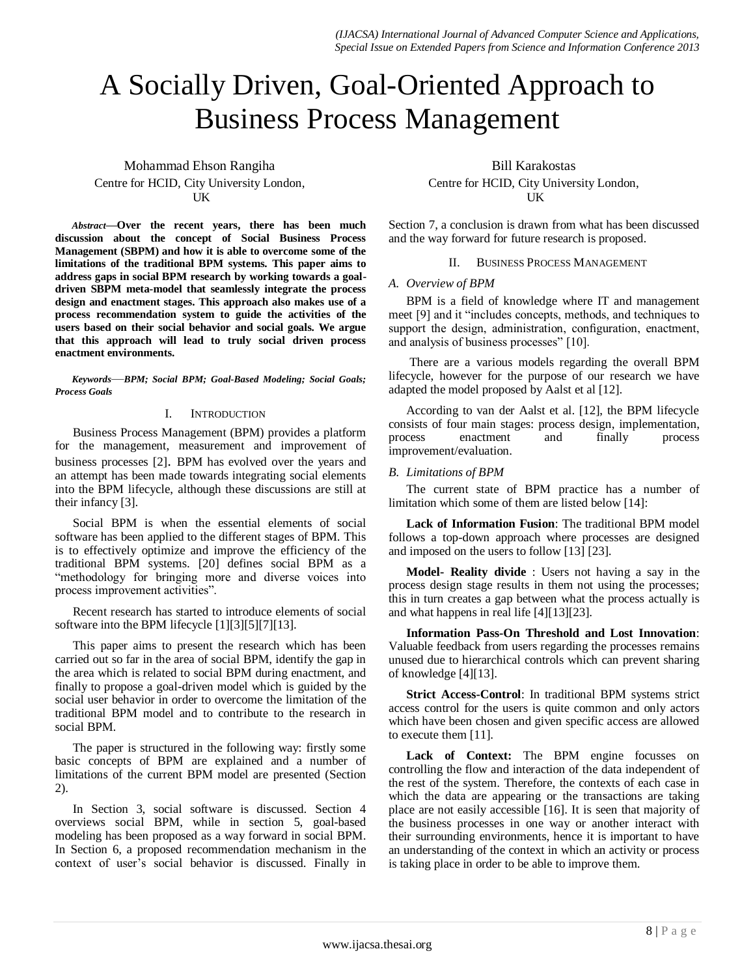# A Socially Driven, Goal-Oriented Approach to Business Process Management

Mohammad Ehson Rangiha Centre for HCID, City University London, **IK** 

*Abstract—***Over the recent years, there has been much discussion about the concept of Social Business Process Management (SBPM) and how it is able to overcome some of the limitations of the traditional BPM systems. This paper aims to address gaps in social BPM research by working towards a goaldriven SBPM meta-model that seamlessly integrate the process design and enactment stages. This approach also makes use of a process recommendation system to guide the activities of the users based on their social behavior and social goals. We argue that this approach will lead to truly social driven process enactment environments.** 

*Keywords*—*BPM; Social BPM; Goal-Based Modeling; Social Goals; Process Goals*

# I. INTRODUCTION

Business Process Management (BPM) provides a platform for the management, measurement and improvement of business processes [2]. BPM has evolved over the years and an attempt has been made towards integrating social elements into the BPM lifecycle, although these discussions are still at their infancy [3].

Social BPM is when the essential elements of social software has been applied to the different stages of BPM. This is to effectively optimize and improve the efficiency of the traditional BPM systems. [20] defines social BPM as a "methodology for bringing more and diverse voices into process improvement activities".

Recent research has started to introduce elements of social software into the BPM lifecycle [1][3][5][7][13].

This paper aims to present the research which has been carried out so far in the area of social BPM, identify the gap in the area which is related to social BPM during enactment, and finally to propose a goal-driven model which is guided by the social user behavior in order to overcome the limitation of the traditional BPM model and to contribute to the research in social BPM.

The paper is structured in the following way: firstly some basic concepts of BPM are explained and a number of limitations of the current BPM model are presented (Section 2).

In Section 3, social software is discussed. Section 4 overviews social BPM, while in section 5, goal-based modeling has been proposed as a way forward in social BPM. In Section 6, a proposed recommendation mechanism in the context of user's social behavior is discussed. Finally in

Bill Karakostas Centre for HCID, City University London, UK

Section 7, a conclusion is drawn from what has been discussed and the way forward for future research is proposed.

# II. BUSINESS PROCESS MANAGEMENT

# *A. Overview of BPM*

BPM is a field of knowledge where IT and management meet [9] and it "includes concepts, methods, and techniques to support the design, administration, configuration, enactment, and analysis of business processes" [10].

There are a various models regarding the overall BPM lifecycle, however for the purpose of our research we have adapted the model proposed by Aalst et al [12].

According to van der Aalst et al. [12], the BPM lifecycle consists of four main stages: process design, implementation, process enactment and finally process improvement/evaluation.

# *B. Limitations of BPM*

The current state of BPM practice has a number of limitation which some of them are listed below [14]:

**Lack of Information Fusion**: The traditional BPM model follows a top-down approach where processes are designed and imposed on the users to follow [13] [23].

**Model- Reality divide** : Users not having a say in the process design stage results in them not using the processes; this in turn creates a gap between what the process actually is and what happens in real life [4][13][23].

**Information Pass-On Threshold and Lost Innovation**: Valuable feedback from users regarding the processes remains unused due to hierarchical controls which can prevent sharing of knowledge [4][13].

**Strict Access-Control**: In traditional BPM systems strict access control for the users is quite common and only actors which have been chosen and given specific access are allowed to execute them [11].

**Lack of Context:** The BPM engine focusses on controlling the flow and interaction of the data independent of the rest of the system. Therefore, the contexts of each case in which the data are appearing or the transactions are taking place are not easily accessible [16]. It is seen that majority of the business processes in one way or another interact with their surrounding environments, hence it is important to have an understanding of the context in which an activity or process is taking place in order to be able to improve them.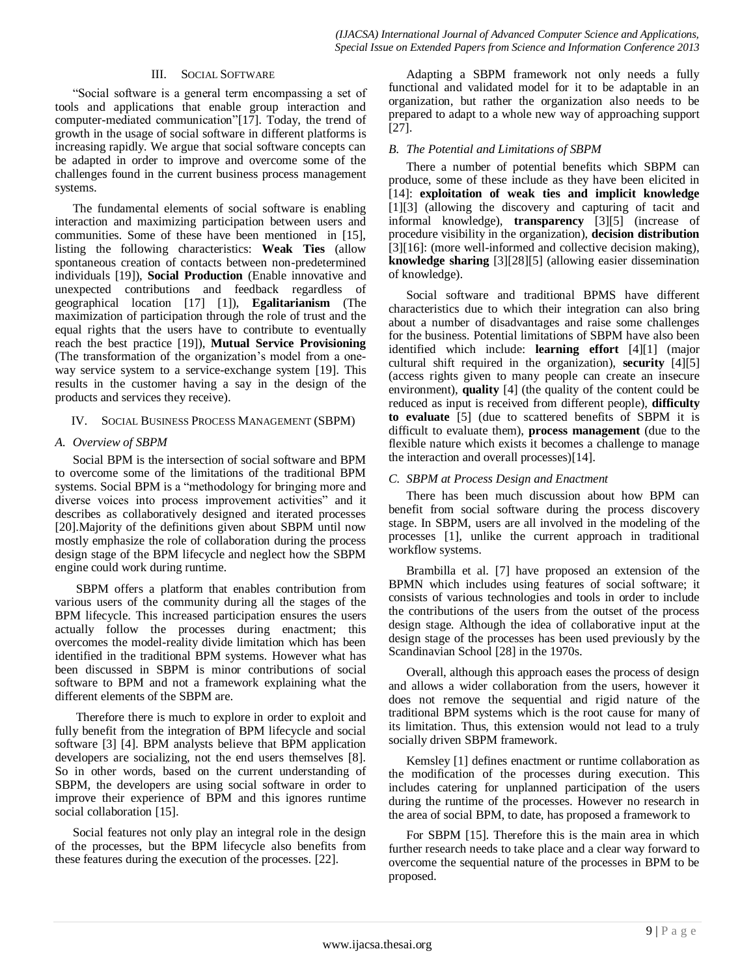## III. SOCIAL SOFTWARE

"Social software is a general term encompassing a set of tools and applications that enable group interaction and computer-mediated communication"[17]. Today, the trend of growth in the usage of social software in different platforms is increasing rapidly. We argue that social software concepts can be adapted in order to improve and overcome some of the challenges found in the current business process management systems.

The fundamental elements of social software is enabling interaction and maximizing participation between users and communities. Some of these have been mentioned in [15], listing the following characteristics: **Weak Ties** (allow spontaneous creation of contacts between non-predetermined individuals [19]), **Social Production** (Enable innovative and unexpected contributions and feedback regardless of geographical location [17] [1]), **Egalitarianism** (The maximization of participation through the role of trust and the equal rights that the users have to contribute to eventually reach the best practice [19]), **Mutual Service Provisioning**  (The transformation of the organization's model from a oneway service system to a service-exchange system [19]. This results in the customer having a say in the design of the products and services they receive).

# IV. SOCIAL BUSINESS PROCESS MANAGEMENT (SBPM)

## *A. Overview of SBPM*

Social BPM is the intersection of social software and BPM to overcome some of the limitations of the traditional BPM systems. Social BPM is a "methodology for bringing more and diverse voices into process improvement activities" and it describes as collaboratively designed and iterated processes [20].Majority of the definitions given about SBPM until now mostly emphasize the role of collaboration during the process design stage of the BPM lifecycle and neglect how the SBPM engine could work during runtime.

SBPM offers a platform that enables contribution from various users of the community during all the stages of the BPM lifecycle. This increased participation ensures the users actually follow the processes during enactment; this overcomes the model-reality divide limitation which has been identified in the traditional BPM systems. However what has been discussed in SBPM is minor contributions of social software to BPM and not a framework explaining what the different elements of the SBPM are.

Therefore there is much to explore in order to exploit and fully benefit from the integration of BPM lifecycle and social software [3] [4]. BPM analysts believe that BPM application developers are socializing, not the end users themselves [8]. So in other words, based on the current understanding of SBPM, the developers are using social software in order to improve their experience of BPM and this ignores runtime social collaboration [15].

Social features not only play an integral role in the design of the processes, but the BPM lifecycle also benefits from these features during the execution of the processes. [22].

Adapting a SBPM framework not only needs a fully functional and validated model for it to be adaptable in an organization, but rather the organization also needs to be prepared to adapt to a whole new way of approaching support [27].

## *B. The Potential and Limitations of SBPM*

There a number of potential benefits which SBPM can produce, some of these include as they have been elicited in [14]: **exploitation of weak ties and implicit knowledge** [1][3] (allowing the discovery and capturing of tacit and informal knowledge), **transparency** [3][5] (increase of procedure visibility in the organization), **decision distribution** [3][16]: (more well-informed and collective decision making), **knowledge sharing** [3][28][5] (allowing easier dissemination of knowledge).

Social software and traditional BPMS have different characteristics due to which their integration can also bring about a number of disadvantages and raise some challenges for the business. Potential limitations of SBPM have also been identified which include: **learning effort** [4][1] (major cultural shift required in the organization), **security** [4][5] (access rights given to many people can create an insecure environment), **quality** [4] (the quality of the content could be reduced as input is received from different people), **difficulty to evaluate** [5] (due to scattered benefits of SBPM it is difficult to evaluate them), **process management** (due to the flexible nature which exists it becomes a challenge to manage the interaction and overall processes)[14].

## *C. SBPM at Process Design and Enactment*

There has been much discussion about how BPM can benefit from social software during the process discovery stage. In SBPM, users are all involved in the modeling of the processes [1], unlike the current approach in traditional workflow systems.

Brambilla et al. [7] have proposed an extension of the BPMN which includes using features of social software; it consists of various technologies and tools in order to include the contributions of the users from the outset of the process design stage. Although the idea of collaborative input at the design stage of the processes has been used previously by the Scandinavian School [28] in the 1970s.

Overall, although this approach eases the process of design and allows a wider collaboration from the users, however it does not remove the sequential and rigid nature of the traditional BPM systems which is the root cause for many of its limitation. Thus, this extension would not lead to a truly socially driven SBPM framework.

Kemsley [1] defines enactment or runtime collaboration as the modification of the processes during execution. This includes catering for unplanned participation of the users during the runtime of the processes. However no research in the area of social BPM, to date, has proposed a framework to

For SBPM [15]. Therefore this is the main area in which further research needs to take place and a clear way forward to overcome the sequential nature of the processes in BPM to be proposed.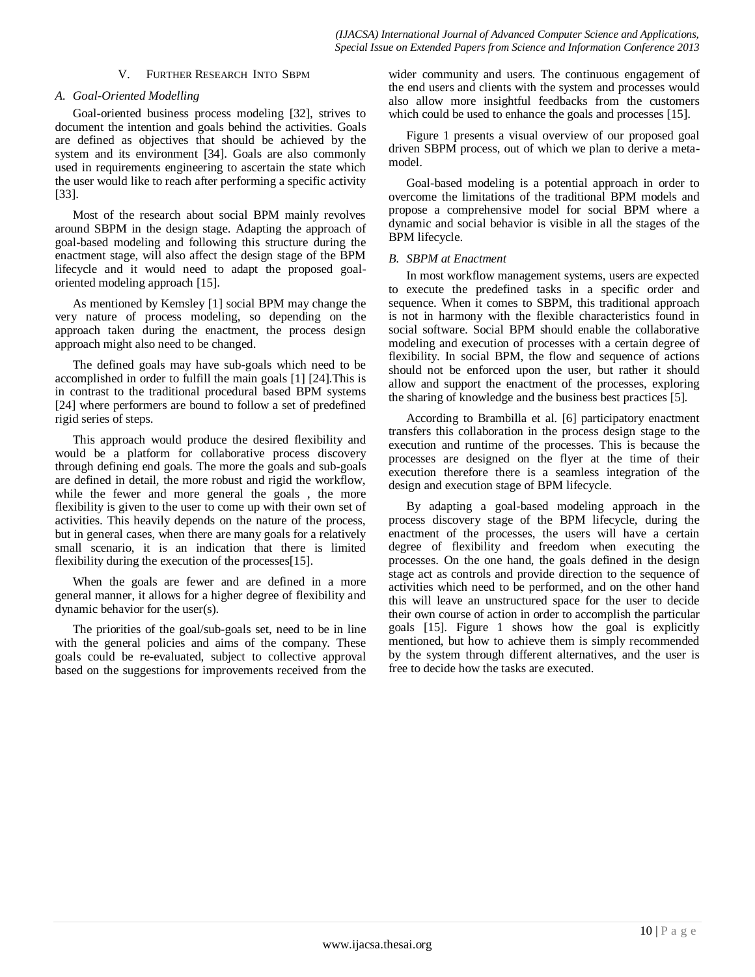# V. FURTHER RESEARCH INTO SBPM

# *A. Goal-Oriented Modelling*

Goal-oriented business process modeling [32], strives to document the intention and goals behind the activities. Goals are defined as objectives that should be achieved by the system and its environment [34]. Goals are also commonly used in requirements engineering to ascertain the state which the user would like to reach after performing a specific activity [33].

Most of the research about social BPM mainly revolves around SBPM in the design stage. Adapting the approach of goal-based modeling and following this structure during the enactment stage, will also affect the design stage of the BPM lifecycle and it would need to adapt the proposed goaloriented modeling approach [15].

As mentioned by Kemsley [1] social BPM may change the very nature of process modeling, so depending on the approach taken during the enactment, the process design approach might also need to be changed.

The defined goals may have sub-goals which need to be accomplished in order to fulfill the main goals [1] [24].This is in contrast to the traditional procedural based BPM systems [24] where performers are bound to follow a set of predefined rigid series of steps.

This approach would produce the desired flexibility and would be a platform for collaborative process discovery through defining end goals. The more the goals and sub-goals are defined in detail, the more robust and rigid the workflow, while the fewer and more general the goals , the more flexibility is given to the user to come up with their own set of activities. This heavily depends on the nature of the process, but in general cases, when there are many goals for a relatively small scenario, it is an indication that there is limited flexibility during the execution of the processes[15].

When the goals are fewer and are defined in a more general manner, it allows for a higher degree of flexibility and dynamic behavior for the user(s).

The priorities of the goal/sub-goals set, need to be in line with the general policies and aims of the company. These goals could be re-evaluated, subject to collective approval based on the suggestions for improvements received from the wider community and users. The continuous engagement of the end users and clients with the system and processes would also allow more insightful feedbacks from the customers which could be used to enhance the goals and processes [15].

Figure 1 presents a visual overview of our proposed goal driven SBPM process, out of which we plan to derive a metamodel.

Goal-based modeling is a potential approach in order to overcome the limitations of the traditional BPM models and propose a comprehensive model for social BPM where a dynamic and social behavior is visible in all the stages of the BPM lifecycle.

# *B. SBPM at Enactment*

In most workflow management systems, users are expected to execute the predefined tasks in a specific order and sequence. When it comes to SBPM, this traditional approach is not in harmony with the flexible characteristics found in social software. Social BPM should enable the collaborative modeling and execution of processes with a certain degree of flexibility. In social BPM, the flow and sequence of actions should not be enforced upon the user, but rather it should allow and support the enactment of the processes, exploring the sharing of knowledge and the business best practices [5].

According to Brambilla et al. [6] participatory enactment transfers this collaboration in the process design stage to the execution and runtime of the processes. This is because the processes are designed on the flyer at the time of their execution therefore there is a seamless integration of the design and execution stage of BPM lifecycle.

By adapting a goal-based modeling approach in the process discovery stage of the BPM lifecycle, during the enactment of the processes, the users will have a certain degree of flexibility and freedom when executing the processes. On the one hand, the goals defined in the design stage act as controls and provide direction to the sequence of activities which need to be performed, and on the other hand this will leave an unstructured space for the user to decide their own course of action in order to accomplish the particular goals [15]. Figure 1 shows how the goal is explicitly mentioned, but how to achieve them is simply recommended by the system through different alternatives, and the user is free to decide how the tasks are executed.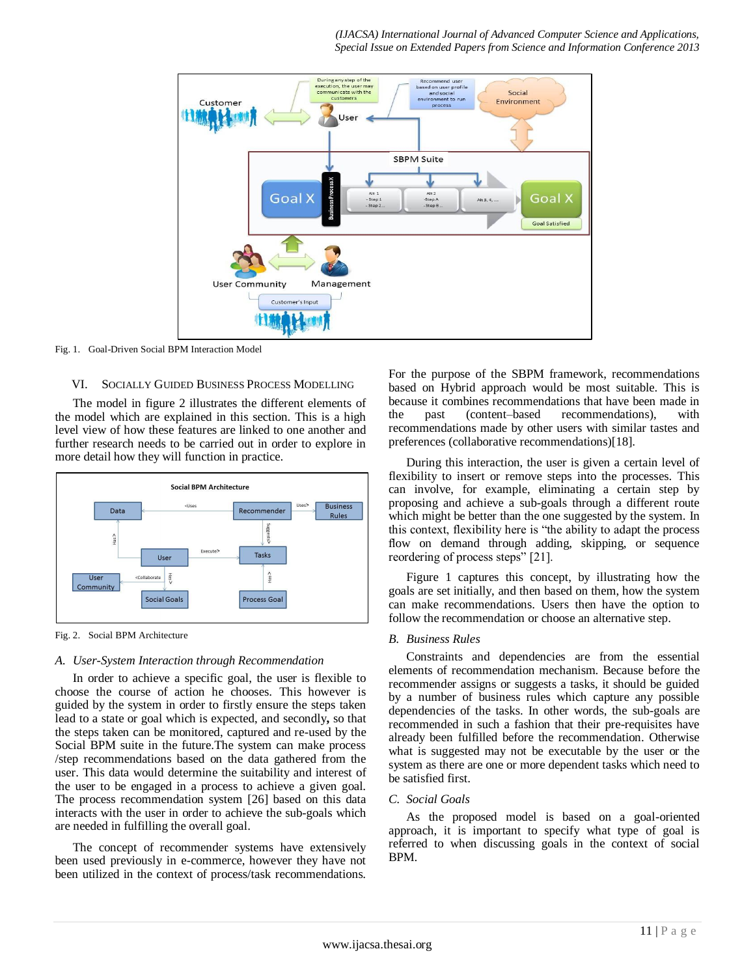

Fig. 1. Goal-Driven Social BPM Interaction Model

# VI. SOCIALLY GUIDED BUSINESS PROCESS MODELLING

The model in figure 2 illustrates the different elements of the model which are explained in this section. This is a high level view of how these features are linked to one another and further research needs to be carried out in order to explore in more detail how they will function in practice.



Fig. 2. Social BPM Architecture

#### *A. User-System Interaction through Recommendation*

In order to achieve a specific goal, the user is flexible to choose the course of action he chooses. This however is guided by the system in order to firstly ensure the steps taken lead to a state or goal which is expected, and secondly**,** so that the steps taken can be monitored, captured and re-used by the Social BPM suite in the future.The system can make process /step recommendations based on the data gathered from the user. This data would determine the suitability and interest of the user to be engaged in a process to achieve a given goal. The process recommendation system [26] based on this data interacts with the user in order to achieve the sub-goals which are needed in fulfilling the overall goal.

The concept of recommender systems have extensively been used previously in e-commerce, however they have not been utilized in the context of process/task recommendations. For the purpose of the SBPM framework, recommendations based on Hybrid approach would be most suitable. This is because it combines recommendations that have been made in the past (content–based recommendations), with recommendations made by other users with similar tastes and preferences (collaborative recommendations)[18].

During this interaction, the user is given a certain level of flexibility to insert or remove steps into the processes. This can involve, for example, eliminating a certain step by proposing and achieve a sub-goals through a different route which might be better than the one suggested by the system. In this context, flexibility here is "the ability to adapt the process flow on demand through adding, skipping, or sequence reordering of process steps" [21].

Figure 1 captures this concept, by illustrating how the goals are set initially, and then based on them, how the system can make recommendations. Users then have the option to follow the recommendation or choose an alternative step.

#### *B. Business Rules*

Constraints and dependencies are from the essential elements of recommendation mechanism. Because before the recommender assigns or suggests a tasks, it should be guided by a number of business rules which capture any possible dependencies of the tasks. In other words, the sub-goals are recommended in such a fashion that their pre-requisites have already been fulfilled before the recommendation. Otherwise what is suggested may not be executable by the user or the system as there are one or more dependent tasks which need to be satisfied first.

#### *C. Social Goals*

As the proposed model is based on a goal-oriented approach, it is important to specify what type of goal is referred to when discussing goals in the context of social BPM.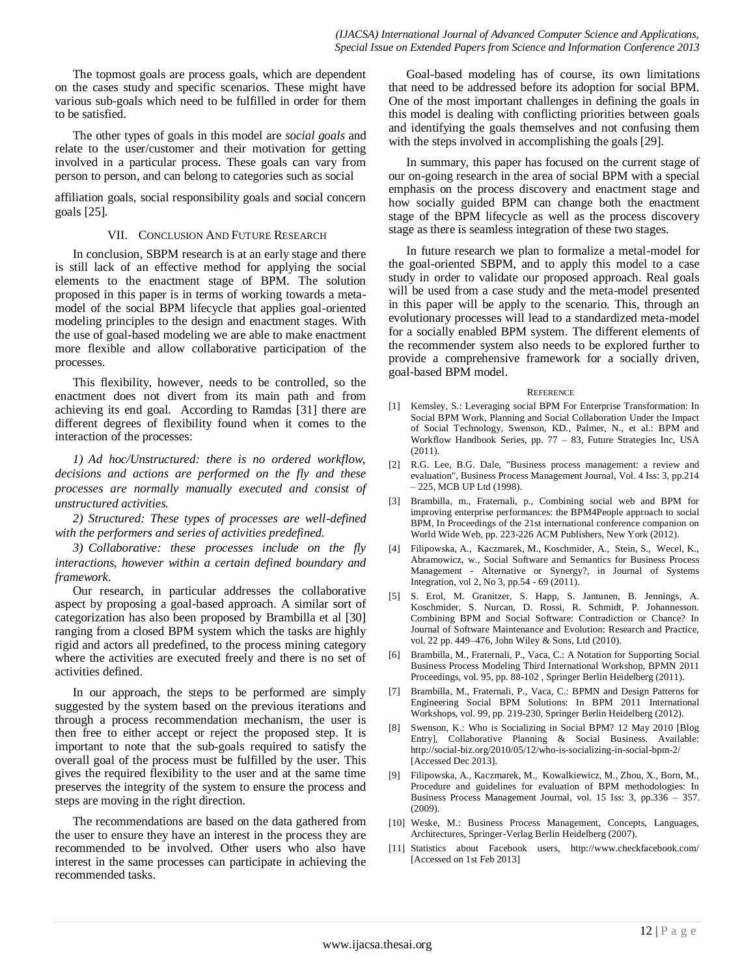The topmost goals are process goals, which are dependent on the cases study and specific scenarios. These might have various sub-goals which need to be fulfilled in order for them to be satisfied.

The other types of goals in this model are *social goals* and relate to the user/customer and their motivation for getting involved in a particular process. These goals can vary from person to person, and can belong to categories such as social

affiliation goals, social responsibility goals and social concern goals [25].

#### VII. CONCLUSION AND FUTURE RESEARCH

In conclusion, SBPM research is at an early stage and there is still lack of an effective method for applying the social elements to the enactment stage of BPM. The solution proposed in this paper is in terms of working towards a metamodel of the social BPM lifecycle that applies goal-oriented modeling principles to the design and enactment stages. With the use of goal-based modeling we are able to make enactment more flexible and allow collaborative participation of the processes.

This flexibility, however, needs to be controlled, so the enactment does not divert from its main path and from achieving its end goal. According to Ramdas [31] there are different degrees of flexibility found when it comes to the interaction of the processes:

*1) Ad hoc/Unstructured: there is no ordered workflow, decisions and actions are performed on the fly and these processes are normally manually executed and consist of unstructured activities.* 

*2) Structured: These types of processes are well-defined with the performers and series of activities predefined.*

*3) Collaborative: these processes include on the fly interactions, however within a certain defined boundary and framework.* 

Our research, in particular addresses the collaborative aspect by proposing a goal-based approach. A similar sort of categorization has also been proposed by Brambilla et al [30] ranging from a closed BPM system which the tasks are highly rigid and actors all predefined, to the process mining category where the activities are executed freely and there is no set of activities defined.

In our approach, the steps to be performed are simply suggested by the system based on the previous iterations and through a process recommendation mechanism, the user is then free to either accept or reject the proposed step. It is important to note that the sub-goals required to satisfy the overall goal of the process must be fulfilled by the user. This gives the required flexibility to the user and at the same time preserves the integrity of the system to ensure the process and steps are moving in the right direction.

The recommendations are based on the data gathered from the user to ensure they have an interest in the process they are recommended to be involved. Other users who also have interest in the same processes can participate in achieving the recommended tasks.

Goal-based modeling has of course, its own limitations that need to be addressed before its adoption for social BPM. One of the most important challenges in defining the goals in this model is dealing with conflicting priorities between goals and identifying the goals themselves and not confusing them with the steps involved in accomplishing the goals [29].

In summary, this paper has focused on the current stage of our on-going research in the area of social BPM with a special emphasis on the process discovery and enactment stage and how socially guided BPM can change both the enactment stage of the BPM lifecycle as well as the process discovery stage as there is seamless integration of these two stages.

In future research we plan to formalize a metal-model for the goal-oriented SBPM, and to apply this model to a case study in order to validate our proposed approach. Real goals will be used from a case study and the meta-model presented in this paper will be apply to the scenario. This, through an evolutionary processes will lead to a standardized meta-model for a socially enabled BPM system. The different elements of the recommender system also needs to be explored further to provide a comprehensive framework for a socially driven, goal-based BPM model.

#### **REFERENCE**

- [1] Kemsley, S.: Leveraging social BPM For Enterprise Transformation: In Social BPM Work, Planning and Social Collaboration Under the Impact of Social Technology, Swenson, KD., Palmer, N., et al.: BPM and Workflow Handbook Series, pp. 77 – 83, Future Strategies Inc, USA (2011).
- [2] R.G. Lee, B.G. Dale, "Business process management: a review and evaluation", Business Process Management Journal, Vol. 4 Iss: 3, pp.214 – 225, MCB UP Ltd (1998).
- [3] Brambilla, m., Fraternali, p., Combining social web and BPM for improving enterprise performances: the BPM4People approach to social BPM, In Proceedings of the 21st international conference companion on World Wide Web, pp. 223-226 ACM Publishers, New York (2012).
- [4] Filipowska, A., Kaczmarek, M., Koschmider, A., Stein, S., Wecel, K., Abramowicz, w., Social Software and Semantics for Business Process Management - Alternative or Synergy?, in Journal of Systems Integration, vol 2, No 3, pp.54 - 69 (2011).
- [5] S. Erol, M. Granitzer, S. Happ, S. Jantunen, B. Jennings, A. Koschmider, S. Nurcan, D. Rossi, R. Schmidt, P. Johannesson. Combining BPM and Social Software: Contradiction or Chance? In Journal of Software Maintenance and Evolution: Research and Practice, vol. 22 pp. 449–476, John Wiley & Sons, Ltd (2010).
- [6] Brambilla, M., Fraternali, P., Vaca, C.: A Notation for Supporting Social Business Process Modeling Third International Workshop, BPMN 2011 Proceedings, vol. 95, pp. 88-102 , Springer Berlin Heidelberg (2011).
- [7] Brambilla, M., Fraternali, P., Vaca, C.: BPMN and Design Patterns for Engineering Social BPM Solutions: In BPM 2011 International Workshops, vol. 99, pp. 219-230, Springer Berlin Heidelberg (2012).
- [8] Swenson, K.: Who is Socializing in Social BPM? 12 May 2010 [Blog Entry], Collaborative Planning & Social Business. Available: http://social-biz.org/2010/05/12/who-is-socializing-in-social-bpm-2/ [Accessed Dec 2013].
- [9] Filipowska, A., Kaczmarek, M., Kowalkiewicz, M., Zhou, X., Born, M., Procedure and guidelines for evaluation of BPM methodologies: In Business Process Management Journal, vol. 15 Iss: 3, pp.336 – 357. (2009).
- [10] Weske, M.: Business Process Management, Concepts, Languages, Architectures, Springer-Verlag Berlin Heidelberg (2007).
- [11] Statistics about Facebook users, http://www.checkfacebook.com/ [Accessed on 1st Feb 2013]